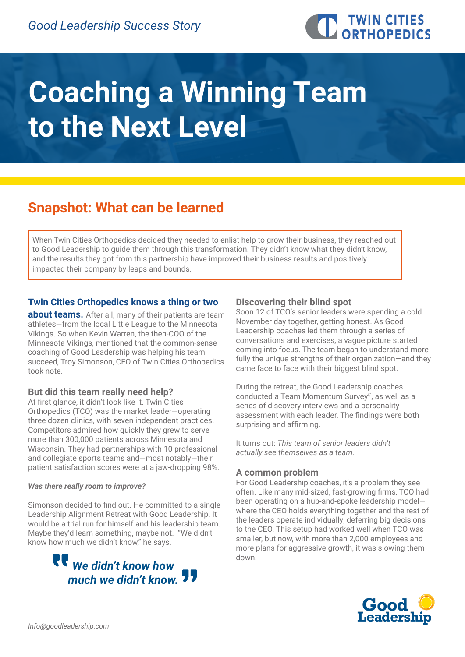

# **Coaching a Winning Team to the Next Level**

# **Snapshot: What can be learned**

When Twin Cities Orthopedics decided they needed to enlist help to grow their business, they reached out to Good Leadership to guide them through this transformation. They didn't know what they didn't know, and the results they got from this partnership have improved their business results and positively impacted their company by leaps and bounds.

# **Twin Cities Orthopedics knows a thing or two**

**about teams.** After all, many of their patients are team athletes—from the local Little League to the Minnesota Vikings. So when Kevin Warren, the then-COO of the Minnesota Vikings, mentioned that the common-sense coaching of Good Leadership was helping his team succeed, Troy Simonson, CEO of Twin Cities Orthopedics took note.

#### **But did this team really need help?**

At first glance, it didn't look like it. Twin Cities Orthopedics (TCO) was the market leader—operating three dozen clinics, with seven independent practices. Competitors admired how quickly they grew to serve more than 300,000 patients across Minnesota and Wisconsin. They had partnerships with 10 professional and collegiate sports teams and—most notably—their patient satisfaction scores were at a jaw-dropping 98%.

#### *Was there really room to improve?*

Simonson decided to find out. He committed to a single Leadership Alignment Retreat with Good Leadership. It would be a trial run for himself and his leadership team. Maybe they'd learn something, maybe not. "We didn't know how much we didn't know," he says.



#### **Discovering their blind spot**

Soon 12 of TCO's senior leaders were spending a cold November day together, getting honest. As Good Leadership coaches led them through a series of conversations and exercises, a vague picture started coming into focus. The team began to understand more fully the unique strengths of their organization—and they came face to face with their biggest blind spot.

During the retreat, the Good Leadership coaches conducted a Team Momentum Survey<sup>®</sup>, as well as a series of discovery interviews and a personality assessment with each leader. The findings were both surprising and affirming.

It turns out: *This team of senior leaders didn't actually see themselves as a team.* 

### **A common problem**

For Good Leadership coaches, it's a problem they see often. Like many mid-sized, fast-growing firms, TCO had been operating on a hub-and-spoke leadership model where the CEO holds everything together and the rest of the leaders operate individually, deferring big decisions to the CEO. This setup had worked well when TCO was smaller, but now, with more than 2,000 employees and more plans for aggressive growth, it was slowing them down.